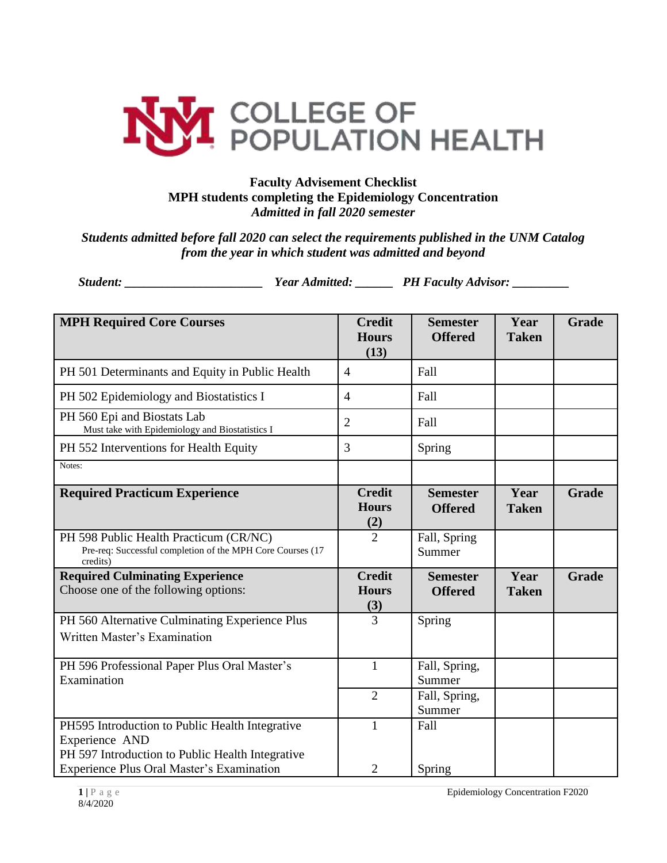

## **Faculty Advisement Checklist MPH students completing the Epidemiology Concentration** *Admitted in fall 2020 semester*

*Students admitted before fall 2020 can select the requirements published in the UNM Catalog from the year in which student was admitted and beyond*

*Student: \_\_\_\_\_\_\_\_\_\_\_\_\_\_\_\_\_\_\_\_\_\_ Year Admitted: \_\_\_\_\_\_ PH Faculty Advisor: \_\_\_\_\_\_\_\_\_*

| <b>MPH Required Core Courses</b>                                                                                      | <b>Credit</b><br><b>Hours</b><br>(13) | <b>Semester</b><br><b>Offered</b> | Year<br><b>Taken</b> | Grade        |
|-----------------------------------------------------------------------------------------------------------------------|---------------------------------------|-----------------------------------|----------------------|--------------|
| PH 501 Determinants and Equity in Public Health                                                                       | $\overline{4}$                        | Fall                              |                      |              |
| PH 502 Epidemiology and Biostatistics I                                                                               | $\overline{4}$                        | Fall                              |                      |              |
| PH 560 Epi and Biostats Lab<br>Must take with Epidemiology and Biostatistics I                                        | $\overline{2}$                        | Fall                              |                      |              |
| PH 552 Interventions for Health Equity                                                                                | 3                                     | Spring                            |                      |              |
| Notes:                                                                                                                |                                       |                                   |                      |              |
| <b>Required Practicum Experience</b>                                                                                  | <b>Credit</b><br><b>Hours</b><br>(2)  | <b>Semester</b><br><b>Offered</b> | Year<br><b>Taken</b> | <b>Grade</b> |
| PH 598 Public Health Practicum (CR/NC)<br>Pre-req: Successful completion of the MPH Core Courses (17<br>credits)      | $\overline{2}$                        | Fall, Spring<br>Summer            |                      |              |
| <b>Required Culminating Experience</b><br>Choose one of the following options:                                        | <b>Credit</b><br><b>Hours</b><br>(3)  | <b>Semester</b><br><b>Offered</b> | Year<br><b>Taken</b> | <b>Grade</b> |
| PH 560 Alternative Culminating Experience Plus<br>Written Master's Examination                                        | 3                                     | Spring                            |                      |              |
| PH 596 Professional Paper Plus Oral Master's<br>Examination                                                           | $\mathbf{1}$                          | Fall, Spring,<br>Summer           |                      |              |
|                                                                                                                       | $\overline{2}$                        | Fall, Spring,<br>Summer           |                      |              |
| PH595 Introduction to Public Health Integrative<br>Experience AND<br>PH 597 Introduction to Public Health Integrative | 1                                     | Fall                              |                      |              |
| <b>Experience Plus Oral Master's Examination</b>                                                                      | $\overline{2}$                        | Spring                            |                      |              |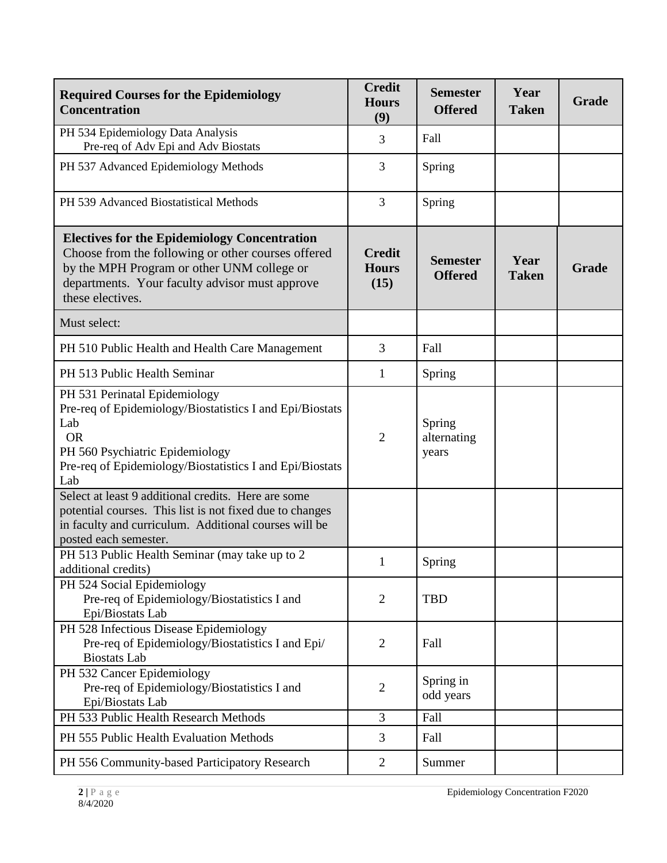| <b>Required Courses for the Epidemiology</b><br><b>Concentration</b>                                                                                                                                                          | <b>Credit</b><br><b>Hours</b><br>(9)  | <b>Semester</b><br><b>Offered</b> | Year<br><b>Taken</b> | Grade |
|-------------------------------------------------------------------------------------------------------------------------------------------------------------------------------------------------------------------------------|---------------------------------------|-----------------------------------|----------------------|-------|
| PH 534 Epidemiology Data Analysis<br>Pre-req of Adv Epi and Adv Biostats                                                                                                                                                      | 3                                     | Fall                              |                      |       |
| PH 537 Advanced Epidemiology Methods                                                                                                                                                                                          | 3                                     | Spring                            |                      |       |
| PH 539 Advanced Biostatistical Methods                                                                                                                                                                                        | $\overline{3}$                        | Spring                            |                      |       |
| <b>Electives for the Epidemiology Concentration</b><br>Choose from the following or other courses offered<br>by the MPH Program or other UNM college or<br>departments. Your faculty advisor must approve<br>these electives. | <b>Credit</b><br><b>Hours</b><br>(15) | <b>Semester</b><br><b>Offered</b> | Year<br><b>Taken</b> | Grade |
| Must select:                                                                                                                                                                                                                  |                                       |                                   |                      |       |
| PH 510 Public Health and Health Care Management                                                                                                                                                                               | $\overline{3}$                        | Fall                              |                      |       |
| PH 513 Public Health Seminar                                                                                                                                                                                                  | 1                                     | Spring                            |                      |       |
| PH 531 Perinatal Epidemiology<br>Pre-req of Epidemiology/Biostatistics I and Epi/Biostats<br>Lab<br><b>OR</b><br>PH 560 Psychiatric Epidemiology<br>Pre-req of Epidemiology/Biostatistics I and Epi/Biostats<br>Lab           | $\overline{2}$                        | Spring<br>alternating<br>years    |                      |       |
| Select at least 9 additional credits. Here are some<br>potential courses. This list is not fixed due to changes<br>in faculty and curriculum. Additional courses will be<br>posted each semester.                             |                                       |                                   |                      |       |
| PH 513 Public Health Seminar (may take up to 2<br>additional credits)                                                                                                                                                         | 1                                     | Spring                            |                      |       |
| PH 524 Social Epidemiology<br>Pre-req of Epidemiology/Biostatistics I and<br>Epi/Biostats Lab                                                                                                                                 | $\overline{2}$                        | <b>TBD</b>                        |                      |       |
| PH 528 Infectious Disease Epidemiology<br>Pre-req of Epidemiology/Biostatistics I and Epi/<br><b>Biostats</b> Lab                                                                                                             | $\overline{2}$                        | Fall                              |                      |       |
| PH 532 Cancer Epidemiology<br>Pre-req of Epidemiology/Biostatistics I and<br>Epi/Biostats Lab                                                                                                                                 | $\overline{2}$                        | Spring in<br>odd years            |                      |       |
| PH 533 Public Health Research Methods                                                                                                                                                                                         | 3                                     | Fall                              |                      |       |
| PH 555 Public Health Evaluation Methods                                                                                                                                                                                       | 3                                     | Fall                              |                      |       |
| PH 556 Community-based Participatory Research                                                                                                                                                                                 | $\overline{2}$                        | Summer                            |                      |       |